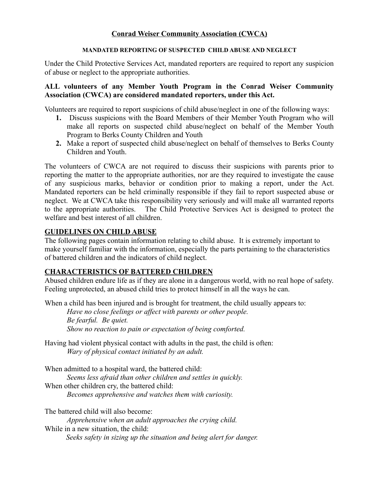### **Conrad Weiser Community Association (CWCA)**

#### **MANDATED REPORTING OF SUSPECTED CHILD ABUSE AND NEGLECT**

Under the Child Protective Services Act, mandated reporters are required to report any suspicion of abuse or neglect to the appropriate authorities.

#### **ALL volunteers of any Member Youth Program in the Conrad Weiser Community Association (CWCA) are considered mandated reporters, under this Act.**

Volunteers are required to report suspicions of child abuse/neglect in one of the following ways:

- **1.** Discuss suspicions with the Board Members of their Member Youth Program who will make all reports on suspected child abuse/neglect on behalf of the Member Youth Program to Berks County Children and Youth
- **2.** Make a report of suspected child abuse/neglect on behalf of themselves to Berks County Children and Youth.

The volunteers of CWCA are not required to discuss their suspicions with parents prior to reporting the matter to the appropriate authorities, nor are they required to investigate the cause of any suspicious marks, behavior or condition prior to making a report, under the Act. Mandated reporters can be held criminally responsible if they fail to report suspected abuse or neglect. We at CWCA take this responsibility very seriously and will make all warranted reports to the appropriate authorities. The Child Protective Services Act is designed to protect the welfare and best interest of all children.

### **GUIDELINES ON CHILD ABUSE**

The following pages contain information relating to child abuse. It is extremely important to make yourself familiar with the information, especially the parts pertaining to the characteristics of battered children and the indicators of child neglect.

#### **CHARACTERISTICS OF BATTERED CHILDREN**

Abused children endure life as if they are alone in a dangerous world, with no real hope of safety. Feeling unprotected, an abused child tries to protect himself in all the ways he can.

When a child has been injured and is brought for treatment, the child usually appears to:

*Have no close feelings or affect with parents or other people. Be fearful. Be quiet. Show no reaction to pain or expectation of being comforted.*

Having had violent physical contact with adults in the past, the child is often: *Wary of physical contact initiated by an adult.*

When admitted to a hospital ward, the battered child:

*Seems less afraid than other children and settles in quickly.*

When other children cry, the battered child:

*Becomes apprehensive and watches them with curiosity.*

The battered child will also become:

*Apprehensive when an adult approaches the crying child.* While in a new situation, the child:  *Seeks safety in sizing up the situation and being alert for danger.*